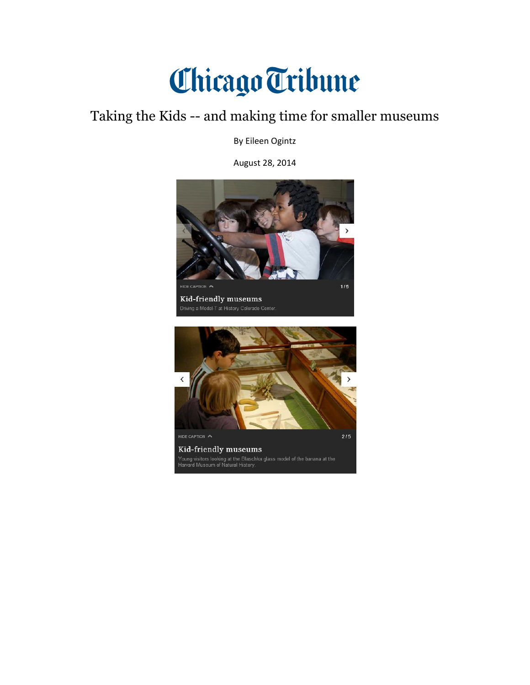## Chicago Tribune

## Taking the Kids -- and making time for smaller museums

By Eileen Ogintz

August 28, 2014

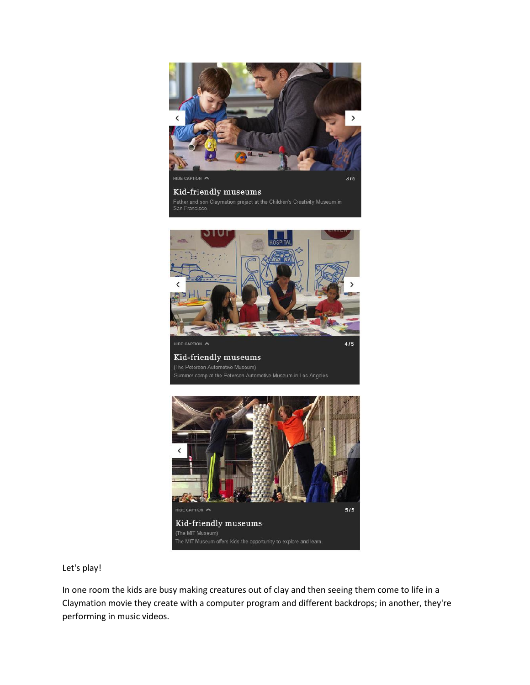

## Kid-friendly museums

Father and son Claymation project at the Children's Creativity Museum in





Let's play!

In one room the kids are busy making creatures out of clay and then seeing them come to life in a Claymation movie they create with a computer program and different backdrops; in another, they're performing in music videos.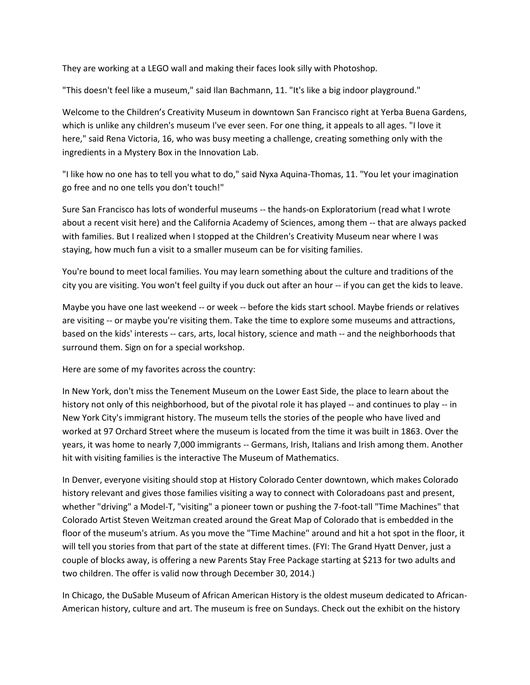They are working at a LEGO wall and making their faces look silly with Photoshop.

"This doesn't feel like a museum," said Ilan Bachmann, 11. "It's like a big indoor playground."

Welcome to the Children's Creativity Museum in downtown San Francisco right at Yerba Buena Gardens, which is unlike any children's museum I've ever seen. For one thing, it appeals to all ages. "I love it here," said Rena Victoria, 16, who was busy meeting a challenge, creating something only with the ingredients in a Mystery Box in the Innovation Lab.

"I like how no one has to tell you what to do," said Nyxa Aquina-Thomas, 11. "You let your imagination go free and no one tells you don't touch!"

Sure San Francisco has lots of wonderful museums -- the hands-on Exploratorium (read what I wrote about a recent visit here) and the California Academy of Sciences, among them -- that are always packed with families. But I realized when I stopped at the Children's Creativity Museum near where I was staying, how much fun a visit to a smaller museum can be for visiting families.

You're bound to meet local families. You may learn something about the culture and traditions of the city you are visiting. You won't feel guilty if you duck out after an hour -- if you can get the kids to leave.

Maybe you have one last weekend -- or week -- before the kids start school. Maybe friends or relatives are visiting -- or maybe you're visiting them. Take the time to explore some museums and attractions, based on the kids' interests -- cars, arts, local history, science and math -- and the neighborhoods that surround them. Sign on for a special workshop.

Here are some of my favorites across the country:

In New York, don't miss the Tenement Museum on the Lower East Side, the place to learn about the history not only of this neighborhood, but of the pivotal role it has played -- and continues to play -- in New York City's immigrant history. The museum tells the stories of the people who have lived and worked at 97 Orchard Street where the museum is located from the time it was built in 1863. Over the years, it was home to nearly 7,000 immigrants -- Germans, Irish, Italians and Irish among them. Another hit with visiting families is the interactive The Museum of Mathematics.

In Denver, everyone visiting should stop at History Colorado Center downtown, which makes Colorado history relevant and gives those families visiting a way to connect with Coloradoans past and present, whether "driving" a Model-T, "visiting" a pioneer town or pushing the 7-foot-tall "Time Machines" that Colorado Artist Steven Weitzman created around the Great Map of Colorado that is embedded in the floor of the museum's atrium. As you move the "Time Machine" around and hit a hot spot in the floor, it will tell you stories from that part of the state at different times. (FYI: The Grand Hyatt Denver, just a couple of blocks away, is offering a new Parents Stay Free Package starting at \$213 for two adults and two children. The offer is valid now through December 30, 2014.)

In Chicago, the DuSable Museum of African American History is the oldest museum dedicated to African-American history, culture and art. The museum is free on Sundays. Check out the exhibit on the history